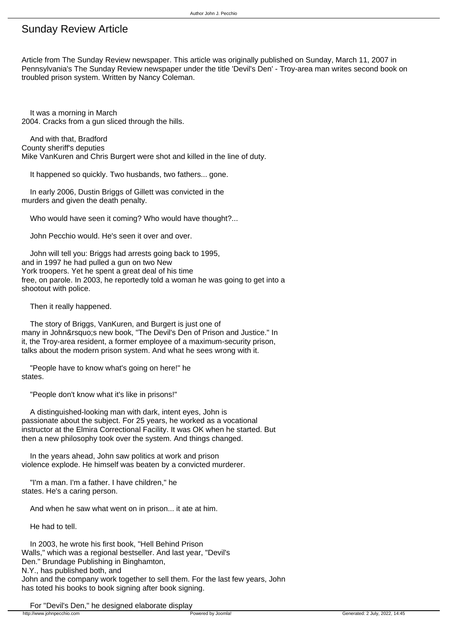## Sunday Review Article

Article from The Sunday Review newspaper. This article was originally published on Sunday, March 11, 2007 in Pennsylvania's The Sunday Review newspaper under the title 'Devil's Den' - Troy-area man writes second book on troubled prison system. Written by Nancy Coleman.

 It was a morning in March 2004. Cracks from a gun sliced through the hills.

 And with that, Bradford County sheriff's deputies Mike VanKuren and Chris Burgert were shot and killed in the line of duty.

It happened so quickly. Two husbands, two fathers... gone.

 In early 2006, Dustin Briggs of Gillett was convicted in the murders and given the death penalty.

Who would have seen it coming? Who would have thought?...

John Pecchio would. He's seen it over and over.

 John will tell you: Briggs had arrests going back to 1995, and in 1997 he had pulled a gun on two New York troopers. Yet he spent a great deal of his time free, on parole. In 2003, he reportedly told a woman he was going to get into a shootout with police.

Then it really happened.

 The story of Briggs, VanKuren, and Burgert is just one of many in John' snew book, "The Devil's Den of Prison and Justice." In it, the Troy-area resident, a former employee of a maximum-security prison, talks about the modern prison system. And what he sees wrong with it.

 "People have to know what's going on here!" he states.

"People don't know what it's like in prisons!"

 A distinguished-looking man with dark, intent eyes, John is passionate about the subject. For 25 years, he worked as a vocational instructor at the Elmira Correctional Facility. It was OK when he started. But then a new philosophy took over the system. And things changed.

 In the years ahead, John saw politics at work and prison violence explode. He himself was beaten by a convicted murderer.

 "I'm a man. I'm a father. I have children," he states. He's a caring person.

And when he saw what went on in prison... it ate at him.

He had to tell.

 In 2003, he wrote his first book, "Hell Behind Prison Walls," which was a regional bestseller. And last year, "Devil's Den." Brundage Publishing in Binghamton, N.Y., has published both, and John and the company work together to sell them. For the last few years, John has toted his books to book signing after book signing.

For "Devil's Den," he designed elaborate display<br>https://www.johnpecchio.com/s/www.johnpecchio.com/s/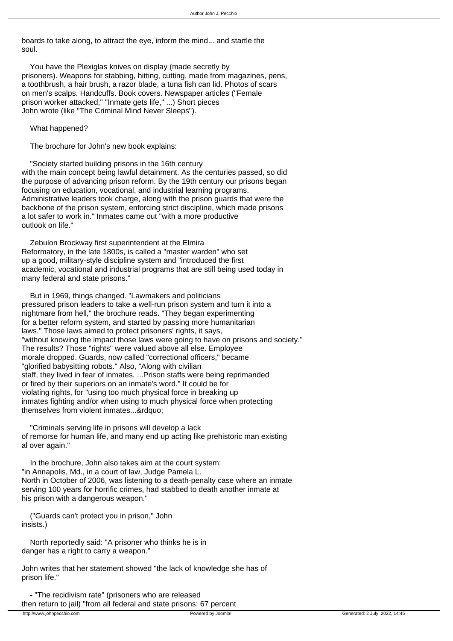boards to take along, to attract the eye, inform the mind... and startle the soul.

 You have the Plexiglas knives on display (made secretly by prisoners). Weapons for stabbing, hitting, cutting, made from magazines, pens, a toothbrush, a hair brush, a razor blade, a tuna fish can lid. Photos of scars on men's scalps. Handcuffs. Book covers. Newspaper articles ("Female prison worker attacked," "Inmate gets life," ...) Short pieces John wrote (like "The Criminal Mind Never Sleeps").

What happened?

The brochure for John's new book explains:

 "Society started building prisons in the 16th century with the main concept being lawful detainment. As the centuries passed, so did the purpose of advancing prison reform. By the 19th century our prisons began focusing on education, vocational, and industrial learning programs. Administrative leaders took charge, along with the prison guards that were the backbone of the prison system, enforcing strict discipline, which made prisons a lot safer to work in." Inmates came out "with a more productive outlook on life."

 Zebulon Brockway first superintendent at the Elmira Reformatory, in the late 1800s, is called a "master warden" who set up a good, military-style discipline system and "introduced the first academic, vocational and industrial programs that are still being used today in many federal and state prisons."

 But in 1969, things changed. "Lawmakers and politicians pressured prison leaders to take a well-run prison system and turn it into a nightmare from hell," the brochure reads. "They began experimenting for a better reform system, and started by passing more humanitarian laws." Those laws aimed to protect prisoners' rights, it says, "without knowing the impact those laws were going to have on prisons and society." The results? Those "rights" were valued above all else. Employee morale dropped. Guards, now called "correctional officers," became "glorified babysitting robots." Also, "Along with civilian staff, they lived in fear of inmates. ...Prison staffs were being reprimanded or fired by their superiors on an inmate's word." It could be for violating rights, for "using too much physical force in breaking up inmates fighting and/or when using to much physical force when protecting themselves from violent inmates...&rdquo:

 "Criminals serving life in prisons will develop a lack of remorse for human life, and many end up acting like prehistoric man existing al over again."

 In the brochure, John also takes aim at the court system: "in Annapolis, Md., in a court of law, Judge Pamela L. North in October of 2006, was listening to a death-penalty case where an inmate serving 100 years for horrific crimes, had stabbed to death another inmate at his prison with a dangerous weapon."

 ("Guards can't protect you in prison," John insists.)

 North reportedly said: "A prisoner who thinks he is in danger has a right to carry a weapon."

John writes that her statement showed "the lack of knowledge she has of prison life."

 - "The recidivism rate" (prisoners who are released then return to jail) "from all federal and state prisons: 67 percent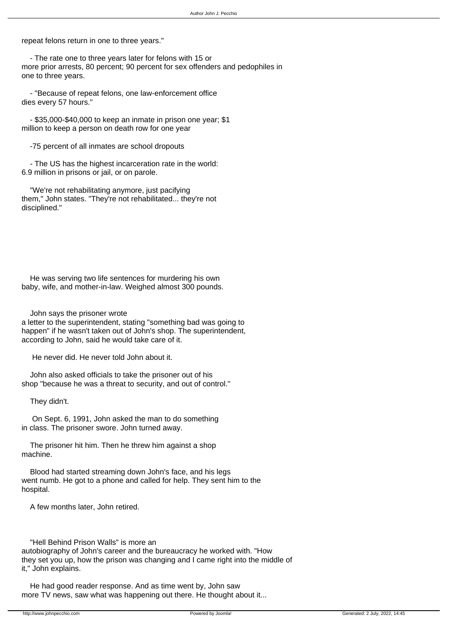repeat felons return in one to three years."

 - The rate one to three years later for felons with 15 or more prior arrests, 80 percent; 90 percent for sex offenders and pedophiles in one to three years.

 - "Because of repeat felons, one law-enforcement office dies every 57 hours."

 - \$35,000-\$40,000 to keep an inmate in prison one year; \$1 million to keep a person on death row for one year

-75 percent of all inmates are school dropouts

 - The US has the highest incarceration rate in the world: 6.9 million in prisons or jail, or on parole.

 "We're not rehabilitating anymore, just pacifying them," John states. "They're not rehabilitated... they're not disciplined."

 He was serving two life sentences for murdering his own baby, wife, and mother-in-law. Weighed almost 300 pounds.

John says the prisoner wrote

a letter to the superintendent, stating "something bad was going to happen" if he wasn't taken out of John's shop. The superintendent, according to John, said he would take care of it.

He never did. He never told John about it.

 John also asked officials to take the prisoner out of his shop "because he was a threat to security, and out of control."

They didn't.

 On Sept. 6, 1991, John asked the man to do something in class. The prisoner swore. John turned away.

 The prisoner hit him. Then he threw him against a shop machine.

 Blood had started streaming down John's face, and his legs went numb. He got to a phone and called for help. They sent him to the hospital.

A few months later, John retired.

"Hell Behind Prison Walls" is more an

autobiography of John's career and the bureaucracy he worked with. "How they set you up, how the prison was changing and I came right into the middle of it," John explains.

 He had good reader response. And as time went by, John saw more TV news, saw what was happening out there. He thought about it...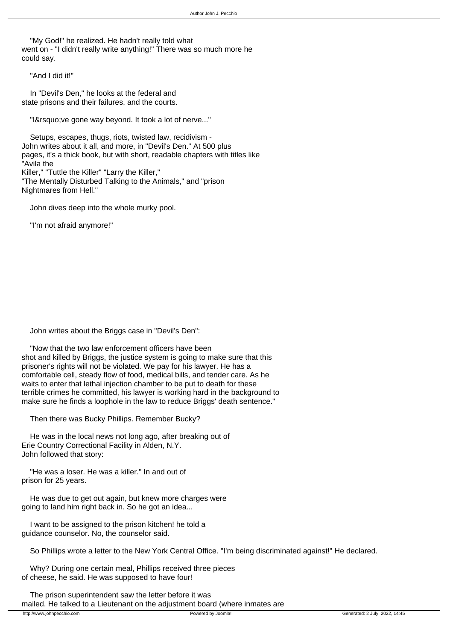"My God!" he realized. He hadn't really told what went on - "I didn't really write anything!" There was so much more he could say.

"And I did it!"

 In "Devil's Den," he looks at the federal and state prisons and their failures, and the courts.

"I' ve gone way beyond. It took a lot of nerve..."

 Setups, escapes, thugs, riots, twisted law, recidivism - John writes about it all, and more, in "Devil's Den." At 500 plus pages, it's a thick book, but with short, readable chapters with titles like "Avila the Killer," "Tuttle the Killer" "Larry the Killer," "The Mentally Disturbed Talking to the Animals," and "prison Nightmares from Hell."

John dives deep into the whole murky pool.

"I'm not afraid anymore!"

John writes about the Briggs case in "Devil's Den":

 "Now that the two law enforcement officers have been shot and killed by Briggs, the justice system is going to make sure that this prisoner's rights will not be violated. We pay for his lawyer. He has a comfortable cell, steady flow of food, medical bills, and tender care. As he waits to enter that lethal injection chamber to be put to death for these terrible crimes he committed, his lawyer is working hard in the background to make sure he finds a loophole in the law to reduce Briggs' death sentence."

Then there was Bucky Phillips. Remember Bucky?

 He was in the local news not long ago, after breaking out of Erie Country Correctional Facility in Alden, N.Y. John followed that story:

 "He was a loser. He was a killer." In and out of prison for 25 years.

 He was due to get out again, but knew more charges were going to land him right back in. So he got an idea...

 I want to be assigned to the prison kitchen! he told a guidance counselor. No, the counselor said.

So Phillips wrote a letter to the New York Central Office. "I'm being discriminated against!" He declared.

 Why? During one certain meal, Phillips received three pieces of cheese, he said. He was supposed to have four!

 The prison superintendent saw the letter before it was mailed. He talked to a Lieutenant on the adjustment board (where inmates are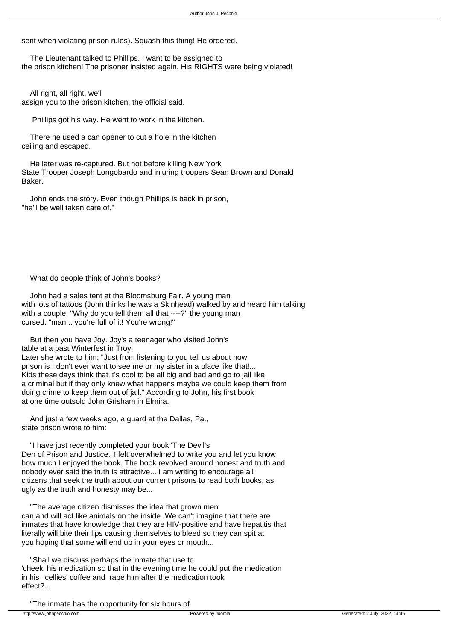sent when violating prison rules). Squash this thing! He ordered.

 The Lieutenant talked to Phillips. I want to be assigned to the prison kitchen! The prisoner insisted again. His RIGHTS were being violated!

 All right, all right, we'll assign you to the prison kitchen, the official said.

Phillips got his way. He went to work in the kitchen.

 There he used a can opener to cut a hole in the kitchen ceiling and escaped.

 He later was re-captured. But not before killing New York State Trooper Joseph Longobardo and injuring troopers Sean Brown and Donald Baker.

 John ends the story. Even though Phillips is back in prison, "he'll be well taken care of."

What do people think of John's books?

 John had a sales tent at the Bloomsburg Fair. A young man with lots of tattoos (John thinks he was a Skinhead) walked by and heard him talking with a couple. "Why do you tell them all that ----?" the young man cursed. "man... you're full of it! You're wrong!"

 But then you have Joy. Joy's a teenager who visited John's table at a past Winterfest in Troy. Later she wrote to him: "Just from listening to you tell us about how prison is I don't ever want to see me or my sister in a place like that!... Kids these days think that it's cool to be all big and bad and go to jail like a criminal but if they only knew what happens maybe we could keep them from doing crime to keep them out of jail." According to John, his first book at one time outsold John Grisham in Elmira.

 And just a few weeks ago, a guard at the Dallas, Pa., state prison wrote to him:

 "I have just recently completed your book 'The Devil's Den of Prison and Justice.' I felt overwhelmed to write you and let you know how much I enjoyed the book. The book revolved around honest and truth and nobody ever said the truth is attractive... I am writing to encourage all citizens that seek the truth about our current prisons to read both books, as ugly as the truth and honesty may be...

 "The average citizen dismisses the idea that grown men can and will act like animals on the inside. We can't imagine that there are inmates that have knowledge that they are HIV-positive and have hepatitis that literally will bite their lips causing themselves to bleed so they can spit at you hoping that some will end up in your eyes or mouth...

 "Shall we discuss perhaps the inmate that use to 'cheek' his medication so that in the evening time he could put the medication in his 'cellies' coffee and rape him after the medication took effect?...

"The inmate has the opportunity for six hours of